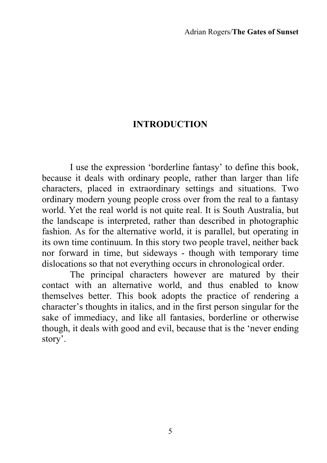## **INTRODUCTION**

I use the expression 'borderline fantasy' to define this book, because it deals with ordinary people, rather than larger than life characters, placed in extraordinary settings and situations. Two ordinary modern young people cross over from the real to a fantasy world. Yet the real world is not quite real. It is South Australia, but the landscape is interpreted, rather than described in photographic fashion. As for the alternative world, it is parallel, but operating in its own time continuum. In this story two people travel, neither back nor forward in time, but sideways - though with temporary time dislocations so that not everything occurs in chronological order.

 The principal characters however are matured by their contact with an alternative world, and thus enabled to know themselves better. This book adopts the practice of rendering a character's thoughts in italics, and in the first person singular for the sake of immediacy, and like all fantasies, borderline or otherwise though, it deals with good and evil, because that is the 'never ending story'.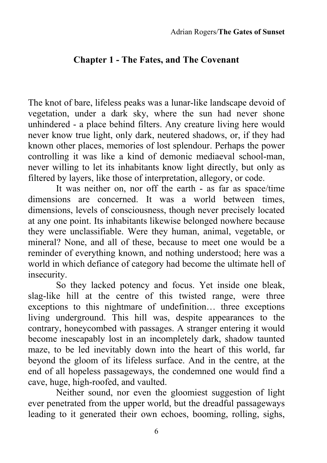## **Chapter 1 - The Fates, and The Covenant**

The knot of bare, lifeless peaks was a lunar-like landscape devoid of vegetation, under a dark sky, where the sun had never shone unhindered - a place behind filters. Any creature living here would never know true light, only dark, neutered shadows, or, if they had known other places, memories of lost splendour. Perhaps the power controlling it was like a kind of demonic mediaeval school-man, never willing to let its inhabitants know light directly, but only as filtered by layers, like those of interpretation, allegory, or code.

 It was neither on, nor off the earth - as far as space/time dimensions are concerned. It was a world between times, dimensions, levels of consciousness, though never precisely located at any one point. Its inhabitants likewise belonged nowhere because they were unclassifiable. Were they human, animal, vegetable, or mineral? None, and all of these, because to meet one would be a reminder of everything known, and nothing understood; here was a world in which defiance of category had become the ultimate hell of insecurity.

 So they lacked potency and focus. Yet inside one bleak, slag-like hill at the centre of this twisted range, were three exceptions to this nightmare of undefinition… three exceptions living underground. This hill was, despite appearances to the contrary, honeycombed with passages. A stranger entering it would become inescapably lost in an incompletely dark, shadow taunted maze, to be led inevitably down into the heart of this world, far beyond the gloom of its lifeless surface. And in the centre, at the end of all hopeless passageways, the condemned one would find a cave, huge, high-roofed, and vaulted.

 Neither sound, nor even the gloomiest suggestion of light ever penetrated from the upper world, but the dreadful passageways leading to it generated their own echoes, booming, rolling, sighs,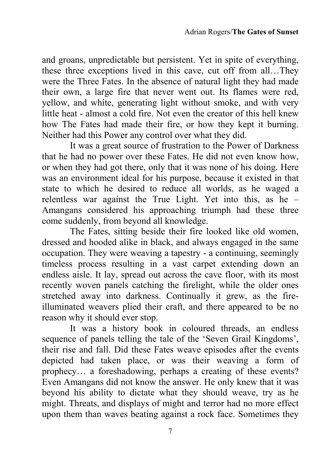and groans, unpredictable but persistent. Yet in spite of everything, these three exceptions lived in this cave, cut off from all…They were the Three Fates. In the absence of natural light they had made their own, a large fire that never went out. Its flames were red, yellow, and white, generating light without smoke, and with very little heat - almost a cold fire. Not even the creator of this hell knew how The Fates had made their fire, or how they kept it burning. Neither had this Power any control over what they did.

 It was a great source of frustration to the Power of Darkness that he had no power over these Fates. He did not even know how, or when they had got there, only that it was none of his doing. Here was an environment ideal for his purpose, because it existed in that state to which he desired to reduce all worlds, as he waged a relentless war against the True Light. Yet into this, as he – Amangans considered his approaching triumph had these three come suddenly, from beyond all knowledge.

 The Fates, sitting beside their fire looked like old women, dressed and hooded alike in black, and always engaged in the same occupation. They were weaving a tapestry - a continuing, seemingly timeless process resulting in a vast carpet extending down an endless aisle. It lay, spread out across the cave floor, with its most recently woven panels catching the firelight, while the older ones stretched away into darkness. Continually it grew, as the fireilluminated weavers plied their craft, and there appeared to be no reason why it should ever stop.

 It was a history book in coloured threads, an endless sequence of panels telling the tale of the 'Seven Grail Kingdoms', their rise and fall. Did these Fates weave episodes after the events depicted had taken place, or was their weaving a form of prophecy… a foreshadowing, perhaps a creating of these events? Even Amangans did not know the answer. He only knew that it was beyond his ability to dictate what they should weave, try as he might. Threats, and displays of might and terror had no more effect upon them than waves beating against a rock face. Sometimes they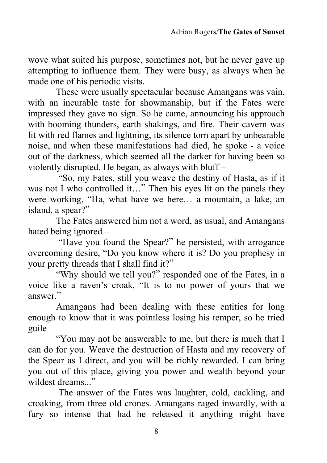wove what suited his purpose, sometimes not, but he never gave up attempting to influence them. They were busy, as always when he made one of his periodic visits.

 These were usually spectacular because Amangans was vain, with an incurable taste for showmanship, but if the Fates were impressed they gave no sign. So he came, announcing his approach with booming thunders, earth shakings, and fire. Their cavern was lit with red flames and lightning, its silence torn apart by unbearable noise, and when these manifestations had died, he spoke - a voice out of the darkness, which seemed all the darker for having been so violently disrupted. He began, as always with bluff –

 "So, my Fates, still you weave the destiny of Hasta, as if it was not I who controlled it..." Then his eyes lit on the panels they were working, "Ha, what have we here… a mountain, a lake, an island, a spear?"

 The Fates answered him not a word, as usual, and Amangans hated being ignored –

 "Have you found the Spear?" he persisted, with arrogance overcoming desire, "Do you know where it is? Do you prophesy in your pretty threads that I shall find it?"

"Why should we tell you?" responded one of the Fates, in a voice like a raven's croak, "It is to no power of yours that we answer<sup>"</sup>

Amangans had been dealing with these entities for long enough to know that it was pointless losing his temper, so he tried guile –

"You may not be answerable to me, but there is much that I can do for you. Weave the destruction of Hasta and my recovery of the Spear as I direct, and you will be richly rewarded. I can bring you out of this place, giving you power and wealth beyond your wildest dreams."

 The answer of the Fates was laughter, cold, cackling, and croaking, from three old crones. Amangans raged inwardly, with a fury so intense that had he released it anything might have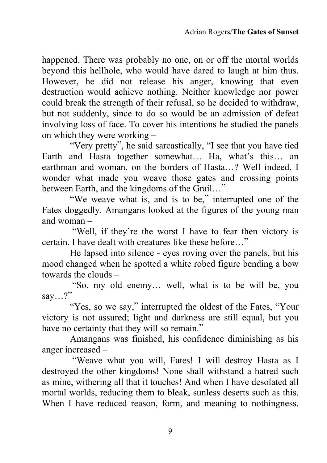happened. There was probably no one, on or off the mortal worlds beyond this hellhole, who would have dared to laugh at him thus. However, he did not release his anger, knowing that even destruction would achieve nothing. Neither knowledge nor power could break the strength of their refusal, so he decided to withdraw, but not suddenly, since to do so would be an admission of defeat involving loss of face. To cover his intentions he studied the panels on which they were working –

"Very pretty", he said sarcastically, "I see that you have tied Earth and Hasta together somewhat… Ha, what's this… an earthman and woman, on the borders of Hasta…? Well indeed, I wonder what made you weave those gates and crossing points between Earth, and the kingdoms of the Grail…"

 "We weave what is, and is to be," interrupted one of the Fates doggedly. Amangans looked at the figures of the young man and woman –

 "Well, if they're the worst I have to fear then victory is certain. I have dealt with creatures like these before…"

He lapsed into silence - eyes roving over the panels, but his mood changed when he spotted a white robed figure bending a bow towards the clouds –

 "So, my old enemy… well, what is to be will be, you say...?"

"Yes, so we say," interrupted the oldest of the Fates, "Your victory is not assured; light and darkness are still equal, but you have no certainty that they will so remain."

 Amangans was finished, his confidence diminishing as his anger increased –

 "Weave what you will, Fates! I will destroy Hasta as I destroyed the other kingdoms! None shall withstand a hatred such as mine, withering all that it touches! And when I have desolated all mortal worlds, reducing them to bleak, sunless deserts such as this. When I have reduced reason, form, and meaning to nothingness.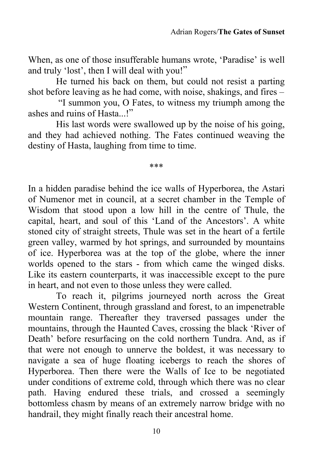When, as one of those insufferable humans wrote, 'Paradise' is well and truly 'lost', then I will deal with you!"

He turned his back on them, but could not resist a parting shot before leaving as he had come, with noise, shakings, and fires –

 "I summon you, O Fates, to witness my triumph among the ashes and ruins of Hasta...!"

His last words were swallowed up by the noise of his going, and they had achieved nothing. The Fates continued weaving the destiny of Hasta, laughing from time to time.

\*\*\*

In a hidden paradise behind the ice walls of Hyperborea, the Astari of Numenor met in council, at a secret chamber in the Temple of Wisdom that stood upon a low hill in the centre of Thule, the capital, heart, and soul of this 'Land of the Ancestors'. A white stoned city of straight streets, Thule was set in the heart of a fertile green valley, warmed by hot springs, and surrounded by mountains of ice. Hyperborea was at the top of the globe, where the inner worlds opened to the stars - from which came the winged disks. Like its eastern counterparts, it was inaccessible except to the pure in heart, and not even to those unless they were called.

 To reach it, pilgrims journeyed north across the Great Western Continent, through grassland and forest, to an impenetrable mountain range. Thereafter they traversed passages under the mountains, through the Haunted Caves, crossing the black 'River of Death' before resurfacing on the cold northern Tundra. And, as if that were not enough to unnerve the boldest, it was necessary to navigate a sea of huge floating icebergs to reach the shores of Hyperborea. Then there were the Walls of Ice to be negotiated under conditions of extreme cold, through which there was no clear path. Having endured these trials, and crossed a seemingly bottomless chasm by means of an extremely narrow bridge with no handrail, they might finally reach their ancestral home.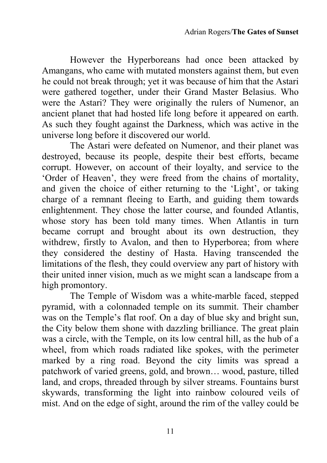However the Hyperboreans had once been attacked by Amangans, who came with mutated monsters against them, but even he could not break through; yet it was because of him that the Astari were gathered together, under their Grand Master Belasius. Who were the Astari? They were originally the rulers of Numenor, an ancient planet that had hosted life long before it appeared on earth. As such they fought against the Darkness, which was active in the universe long before it discovered our world.

 The Astari were defeated on Numenor, and their planet was destroyed, because its people, despite their best efforts, became corrupt. However, on account of their loyalty, and service to the 'Order of Heaven', they were freed from the chains of mortality, and given the choice of either returning to the 'Light', or taking charge of a remnant fleeing to Earth, and guiding them towards enlightenment. They chose the latter course, and founded Atlantis, whose story has been told many times. When Atlantis in turn became corrupt and brought about its own destruction, they withdrew, firstly to Avalon, and then to Hyperborea; from where they considered the destiny of Hasta. Having transcended the limitations of the flesh, they could overview any part of history with their united inner vision, much as we might scan a landscape from a high promontory.

The Temple of Wisdom was a white-marble faced, stepped pyramid, with a colonnaded temple on its summit. Their chamber was on the Temple's flat roof. On a day of blue sky and bright sun, the City below them shone with dazzling brilliance. The great plain was a circle, with the Temple, on its low central hill, as the hub of a wheel, from which roads radiated like spokes, with the perimeter marked by a ring road. Beyond the city limits was spread a patchwork of varied greens, gold, and brown… wood, pasture, tilled land, and crops, threaded through by silver streams. Fountains burst skywards, transforming the light into rainbow coloured veils of mist. And on the edge of sight, around the rim of the valley could be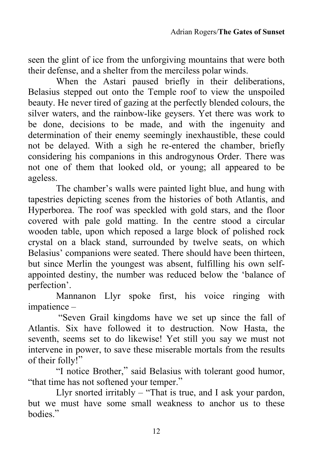seen the glint of ice from the unforgiving mountains that were both their defense, and a shelter from the merciless polar winds.

 When the Astari paused briefly in their deliberations, Belasius stepped out onto the Temple roof to view the unspoiled beauty. He never tired of gazing at the perfectly blended colours, the silver waters, and the rainbow-like geysers. Yet there was work to be done, decisions to be made, and with the ingenuity and determination of their enemy seemingly inexhaustible, these could not be delayed. With a sigh he re-entered the chamber, briefly considering his companions in this androgynous Order. There was not one of them that looked old, or young; all appeared to be ageless.

 The chamber's walls were painted light blue, and hung with tapestries depicting scenes from the histories of both Atlantis, and Hyperborea. The roof was speckled with gold stars, and the floor covered with pale gold matting. In the centre stood a circular wooden table, upon which reposed a large block of polished rock crystal on a black stand, surrounded by twelve seats, on which Belasius' companions were seated. There should have been thirteen, but since Merlin the youngest was absent, fulfilling his own selfappointed destiny, the number was reduced below the 'balance of perfection'.

 Mannanon Llyr spoke first, his voice ringing with impatience –

 "Seven Grail kingdoms have we set up since the fall of Atlantis. Six have followed it to destruction. Now Hasta, the seventh, seems set to do likewise! Yet still you say we must not intervene in power, to save these miserable mortals from the results of their folly!"

"I notice Brother," said Belasius with tolerant good humor, "that time has not softened your temper."

Llyr snorted irritably – "That is true, and I ask your pardon, but we must have some small weakness to anchor us to these bodies."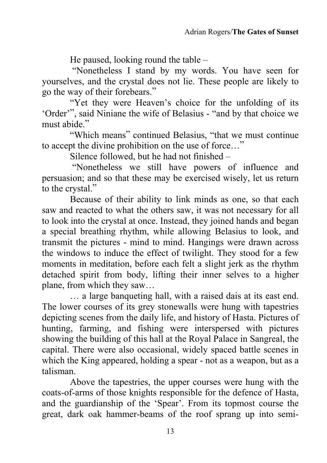He paused, looking round the table –

 "Nonetheless I stand by my words. You have seen for yourselves, and the crystal does not lie. These people are likely to go the way of their forebears."

 "Yet they were Heaven's choice for the unfolding of its 'Order'", said Niniane the wife of Belasius - "and by that choice we must abide."

"Which means" continued Belasius, "that we must continue to accept the divine prohibition on the use of force…"

Silence followed, but he had not finished –

 "Nonetheless we still have powers of influence and persuasion; and so that these may be exercised wisely, let us return to the crystal."

Because of their ability to link minds as one, so that each saw and reacted to what the others saw, it was not necessary for all to look into the crystal at once. Instead, they joined hands and began a special breathing rhythm, while allowing Belasius to look, and transmit the pictures - mind to mind. Hangings were drawn across the windows to induce the effect of twilight. They stood for a few moments in meditation, before each felt a slight jerk as the rhythm detached spirit from body, lifting their inner selves to a higher plane, from which they saw…

… a large banqueting hall, with a raised dais at its east end. The lower courses of its grey stonewalls were hung with tapestries depicting scenes from the daily life, and history of Hasta. Pictures of hunting, farming, and fishing were interspersed with pictures showing the building of this hall at the Royal Palace in Sangreal, the capital. There were also occasional, widely spaced battle scenes in which the King appeared, holding a spear - not as a weapon, but as a talisman.

 Above the tapestries, the upper courses were hung with the coats-of-arms of those knights responsible for the defence of Hasta, and the guardianship of the 'Spear'. From its topmost course the great, dark oak hammer-beams of the roof sprang up into semi-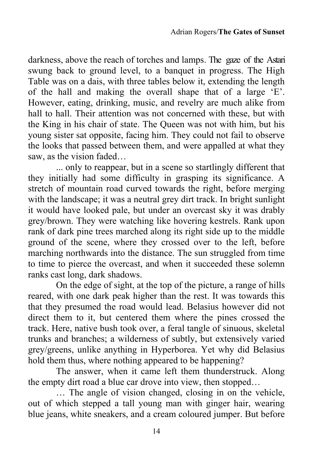darkness, above the reach of torches and lamps. The gaze of the Astari swung back to ground level, to a banquet in progress. The High Table was on a dais, with three tables below it, extending the length of the hall and making the overall shape that of a large 'E'. However, eating, drinking, music, and revelry are much alike from hall to hall. Their attention was not concerned with these, but with the King in his chair of state. The Queen was not with him, but his young sister sat opposite, facing him. They could not fail to observe the looks that passed between them, and were appalled at what they saw, as the vision faded

... only to reappear, but in a scene so startlingly different that they initially had some difficulty in grasping its significance. A stretch of mountain road curved towards the right, before merging with the landscape; it was a neutral grey dirt track. In bright sunlight it would have looked pale, but under an overcast sky it was drably grey/brown. They were watching like hovering kestrels. Rank upon rank of dark pine trees marched along its right side up to the middle ground of the scene, where they crossed over to the left, before marching northwards into the distance. The sun struggled from time to time to pierce the overcast, and when it succeeded these solemn ranks cast long, dark shadows.

On the edge of sight, at the top of the picture, a range of hills reared, with one dark peak higher than the rest. It was towards this that they presumed the road would lead. Belasius however did not direct them to it, but centered them where the pines crossed the track. Here, native bush took over, a feral tangle of sinuous, skeletal trunks and branches; a wilderness of subtly, but extensively varied grey/greens, unlike anything in Hyperborea. Yet why did Belasius hold them thus, where nothing appeared to be happening?

 The answer, when it came left them thunderstruck. Along the empty dirt road a blue car drove into view, then stopped…

 … The angle of vision changed, closing in on the vehicle, out of which stepped a tall young man with ginger hair, wearing blue jeans, white sneakers, and a cream coloured jumper. But before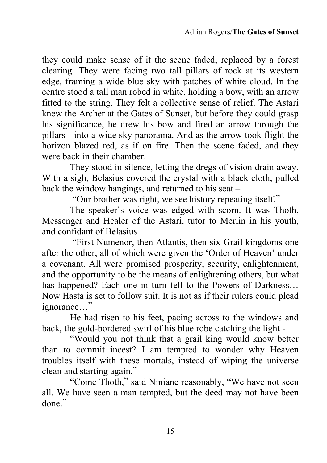they could make sense of it the scene faded, replaced by a forest clearing. They were facing two tall pillars of rock at its western edge, framing a wide blue sky with patches of white cloud. In the centre stood a tall man robed in white, holding a bow, with an arrow fitted to the string. They felt a collective sense of relief. The Astari knew the Archer at the Gates of Sunset, but before they could grasp his significance, he drew his bow and fired an arrow through the pillars - into a wide sky panorama. And as the arrow took flight the horizon blazed red, as if on fire. Then the scene faded, and they were back in their chamber.

They stood in silence, letting the dregs of vision drain away. With a sigh, Belasius covered the crystal with a black cloth, pulled back the window hangings, and returned to his seat –

"Our brother was right, we see history repeating itself."

The speaker's voice was edged with scorn. It was Thoth, Messenger and Healer of the Astari, tutor to Merlin in his youth, and confidant of Belasius –

 "First Numenor, then Atlantis, then six Grail kingdoms one after the other, all of which were given the 'Order of Heaven' under a covenant. All were promised prosperity, security, enlightenment, and the opportunity to be the means of enlightening others, but what has happened? Each one in turn fell to the Powers of Darkness… Now Hasta is set to follow suit. It is not as if their rulers could plead ignorance…"

He had risen to his feet, pacing across to the windows and back, the gold-bordered swirl of his blue robe catching the light -

"Would you not think that a grail king would know better than to commit incest? I am tempted to wonder why Heaven troubles itself with these mortals, instead of wiping the universe clean and starting again."

 "Come Thoth," said Niniane reasonably, "We have not seen all. We have seen a man tempted, but the deed may not have been done"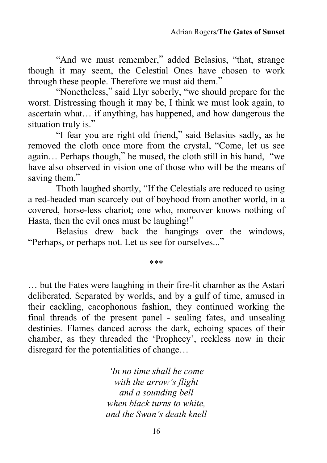"And we must remember," added Belasius, "that, strange though it may seem, the Celestial Ones have chosen to work through these people. Therefore we must aid them."

"Nonetheless," said Llyr soberly, "we should prepare for the worst. Distressing though it may be, I think we must look again, to ascertain what… if anything, has happened, and how dangerous the situation truly is."

 "I fear you are right old friend," said Belasius sadly, as he removed the cloth once more from the crystal, "Come, let us see again… Perhaps though," he mused, the cloth still in his hand, "we have also observed in vision one of those who will be the means of saving them."

Thoth laughed shortly, "If the Celestials are reduced to using a red-headed man scarcely out of boyhood from another world, in a covered, horse-less chariot; one who, moreover knows nothing of Hasta, then the evil ones must be laughing!"

Belasius drew back the hangings over the windows, "Perhaps, or perhaps not. Let us see for ourselves..."

\*\*\*

… but the Fates were laughing in their fire-lit chamber as the Astari deliberated. Separated by worlds, and by a gulf of time, amused in their cackling, cacophonous fashion, they continued working the final threads of the present panel - sealing fates, and unsealing destinies. Flames danced across the dark, echoing spaces of their chamber, as they threaded the 'Prophecy', reckless now in their disregard for the potentialities of change…

> *'In no time shall he come with the arrow's flight and a sounding bell when black turns to white, and the Swan's death knell*